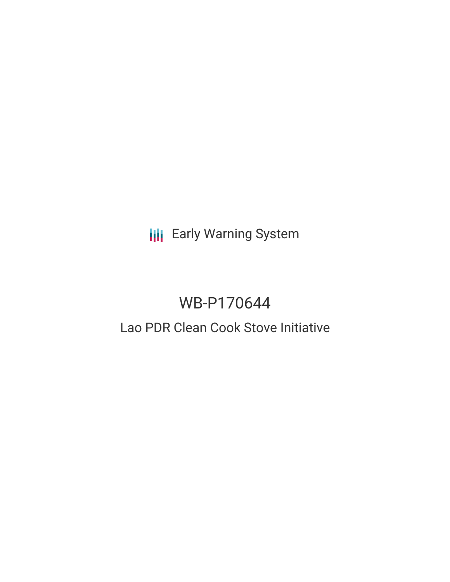**III** Early Warning System

# WB-P170644

## Lao PDR Clean Cook Stove Initiative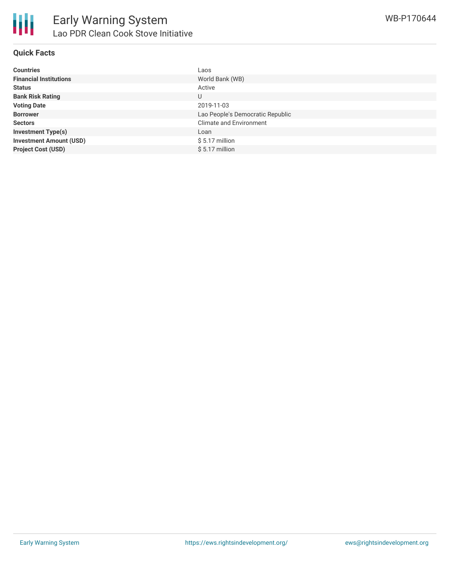

#### **Quick Facts**

| <b>Countries</b>               | Laos                             |
|--------------------------------|----------------------------------|
| <b>Financial Institutions</b>  | World Bank (WB)                  |
| <b>Status</b>                  | Active                           |
| <b>Bank Risk Rating</b>        | U                                |
| <b>Voting Date</b>             | 2019-11-03                       |
| <b>Borrower</b>                | Lao People's Democratic Republic |
| <b>Sectors</b>                 | <b>Climate and Environment</b>   |
| <b>Investment Type(s)</b>      | Loan                             |
| <b>Investment Amount (USD)</b> | $$5.17$ million                  |
| <b>Project Cost (USD)</b>      | $$5.17$ million                  |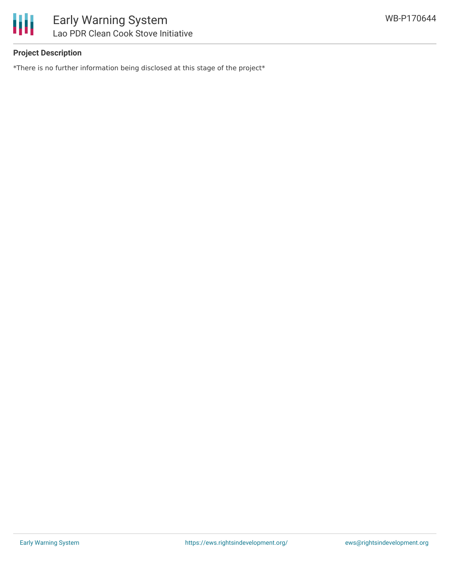

### **Project Description**

\*There is no further information being disclosed at this stage of the project\*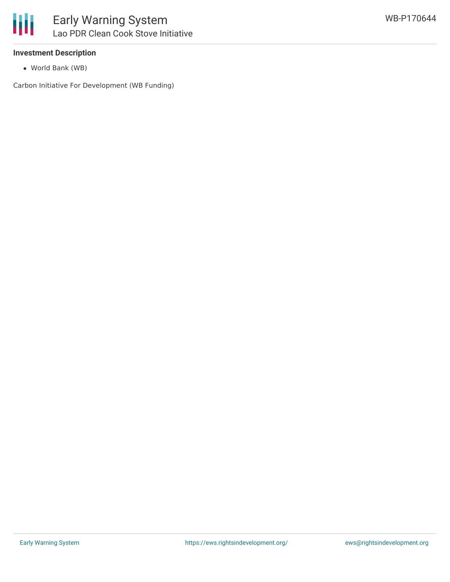#### **Investment Description**

World Bank (WB)

Carbon Initiative For Development (WB Funding)